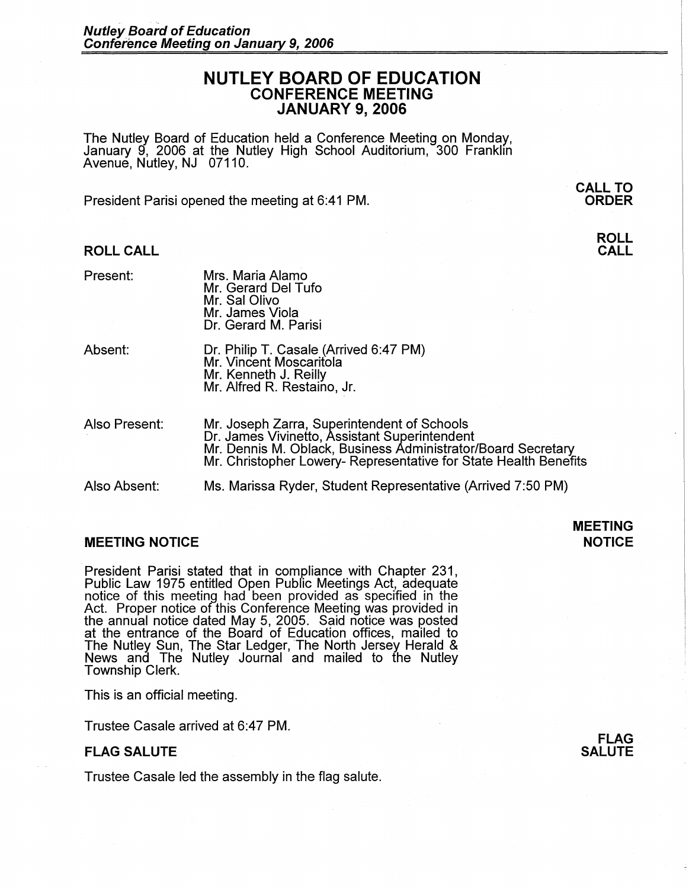# **NUTLEY BOARD OF EDUCATION CONFERENCE MEETING JANUARY 9, 2006**

The Nutley Board of Education held a Conference Meeting on Monday, January 9, 2006 at the Nutley High School Auditorium, 300 Franklin Avenue, Nutley, NJ 07110.

President Parisi opened the meeting at 6:41 PM.

### **ROLL CALL**

Present:

Absent:

- Dr. Philip T. Casale (Arrived 6:47 PM) Mr. Vincent Moscaritola Mr. Kenneth J. Reilly Mr. Alfred R. Restaino, Jr.
- Also Present: Mr. Joseph Zarra, Superintendent of Schools Dr. James Vivinetto, Assistant Superintendent Mr. Dennis M. Oblack, Business Administrator/Board Secretary Mr. Christopher Lowery- Representative for State Health Benefits

Also Absent: Ms. Marissa Ryder, Student Representative (Arrived 7:50 PM)

## **MEETING NOTICE**

President Parisi stated that in compliance with Chapter 231, Public Law 1975 entitled Open Public Meetings Act, adequate notice of this meeting had been provided as specified in the Act. Proper notice of this Conference Meeting was provided in the annual notice dated May 5, 2005. Said notice was posted at the entrance of the Board of Education offices, mailed to The Nutley Sun, The Star Ledger, The North Jersey Herald & News and The Nutley Journal and mailed to the Nutley Township Clerk.

This is an official meeting.

Trustee Casale arrived at 6:47 PM.

### **FLAG SALUTE**

Trustee Casale led the assembly in the flag salute.

**FLAG SALUTE** 

**ORDER ROLL** 

**CALL** 

· **CALL TO** 

**NOTICE** 

**MEETING**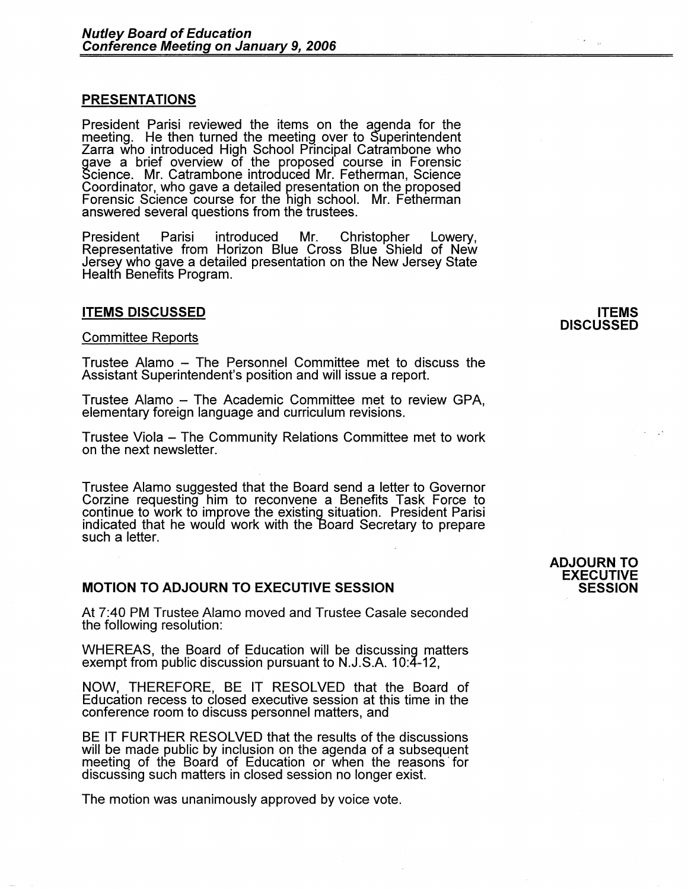## **PRESENTATIONS**

President Parisi reviewed the items on the agenda for the meeting. He then turned the meeting over to Superintendent Zarra who introduced High School Principal Catrambone who gave a brief overview of the proposed course in Forensic<br>Science. Mr. Catrambone introduced Mr. Fetherman, Science<br>Coordinator, who gave a detailed presentation on the proposed Forensic Science course for the high school. Mr. Fetherman answered several questions from the trustees.

President Parisi introduced Mr. Christopher Lowery, Representative from Horizon Blue Cross Blue Shield of New Jersey who gave a detailed presentation on the New Jersey State Health Benefits Program.

### **ITEMS DISCUSSED**

### Committee Reports

Trustee Alamo - The Personnel Committee met to discuss the Assistant Superintendent's position and will issue a report.

Trustee Alamo - The Academic Committee met to review GPA, elementary foreign language and curriculum revisions.

Trustee Viola - The Community Relations Committee met to work on the next newsletter.

Trustee Alamo suggested that the Board send a letter to Governor Corzine requesting him to reconvene a Benefits Task Force to continue to work to improve the existing situation. President Parisi indicated that he would work with the Board Secretary to prepare such a letter.

# **MOTION TO ADJOURN TO EXECUTIVE SESSION**

At 7:40 PM Trustee Alamo moved and Trustee Casale seconded the following resolution:

WHEREAS, the Board of Education will be discussing matters exempt from public discussion pursuant to N.J.S.A. 10:4-12,

**NOW,** THEREFORE, BE IT RESOLVED that the Board of Education recess to closed executive session at this time in the conference room to discuss personnel matters, and

BE IT FURTHER RESOLVED that the results of the discussions will be made public by inclusion on the agenda of a subsequent meeting of the Board of Education or when the reasons for discussing such matters in closed session no longer exist.

The motion was unanimously approved by voice vote.

# **ITEMS DISCUSSED**

### **ADJOURN TO EXECUTIVE SESSION**